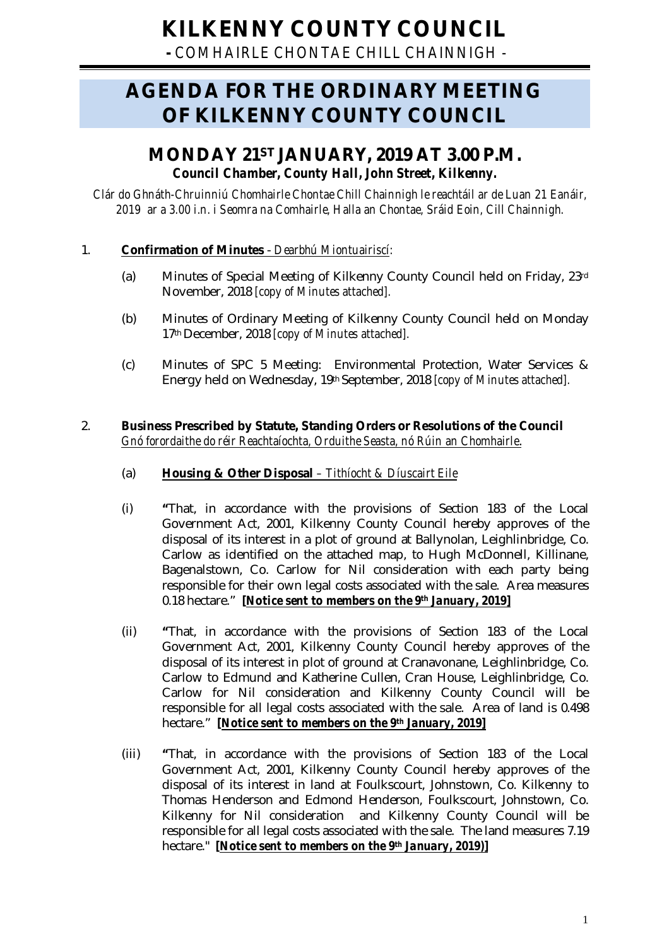**-** *COMHAIRLE CHONTAE CHILL CHAINNIGH -*

# **AGENDA FOR THE ORDINARY MEETING OF KILKENNY COUNTY COUNCIL**

## **MONDAY 21ST JANUARY, 2019 AT 3.00 P.M.** *Council Chamber, County Hall, John Street, Kilkenny.*

*Clár do Ghnáth-Chruinniú Chomhairle Chontae Chill Chainnigh le reachtáil ar de Luan 21 Eanáir, 2019 ar a 3.00 i.n. i Seomra na Comhairle, Halla an Chontae, Sráid Eoin, Cill Chainnigh.*

## 1. **Confirmation of Minutes** - *Dearbhú Miontuairiscí:*

- (a) Minutes of Special Meeting of Kilkenny County Council held on Friday, 23rd November, 2018 *[copy of Minutes attached].*
- (b) Minutes of Ordinary Meeting of Kilkenny County Council held on Monday 17th December, 2018 *[copy of Minutes attached].*
- (c) Minutes of SPC 5 Meeting: Environmental Protection, Water Services & Energy held on Wednesday, 19th September, 2018 *[copy of Minutes attached].*

### 2. **Business Prescribed by Statute, Standing Orders or Resolutions of the Council** *Gnó forordaithe do réir Reachtaíochta, Orduithe Seasta, nó Rúin an Chomhairle*.

- (a) **Housing & Other Disposal** *– Tithíocht & Díuscairt Eile*
- (i) **"**That, in accordance with the provisions of Section 183 of the Local Government Act, 2001, Kilkenny County Council hereby approves of the disposal of its interest in a plot of ground at Ballynolan, Leighlinbridge, Co. Carlow as identified on the attached map, to Hugh McDonnell, Killinane, Bagenalstown, Co. Carlow for Nil consideration with each party being responsible for their own legal costs associated with the sale. Area measures 0.18 hectare." *[Notice sent to members on the 9th January, 2019]*
- (ii) **"**That, in accordance with the provisions of Section 183 of the Local Government Act, 2001, Kilkenny County Council hereby approves of the disposal of its interest in plot of ground at Cranavonane, Leighlinbridge, Co. Carlow to Edmund and Katherine Cullen, Cran House, Leighlinbridge, Co. Carlow for Nil consideration and Kilkenny County Council will be responsible for all legal costs associated with the sale. Area of land is 0.498 hectare." *[Notice sent to members on the 9th January, 2019]*
- (iii) **"**That, in accordance with the provisions of Section 183 of the Local Government Act, 2001, Kilkenny County Council hereby approves of the disposal of its interest in land at Foulkscourt, Johnstown, Co. Kilkenny to Thomas Henderson and Edmond Henderson, Foulkscourt, Johnstown, Co. Kilkenny for Nil consideration and Kilkenny County Council will be responsible for all legal costs associated with the sale. The land measures 7.19 hectare." *[Notice sent to members on the 9th January, 2019)]*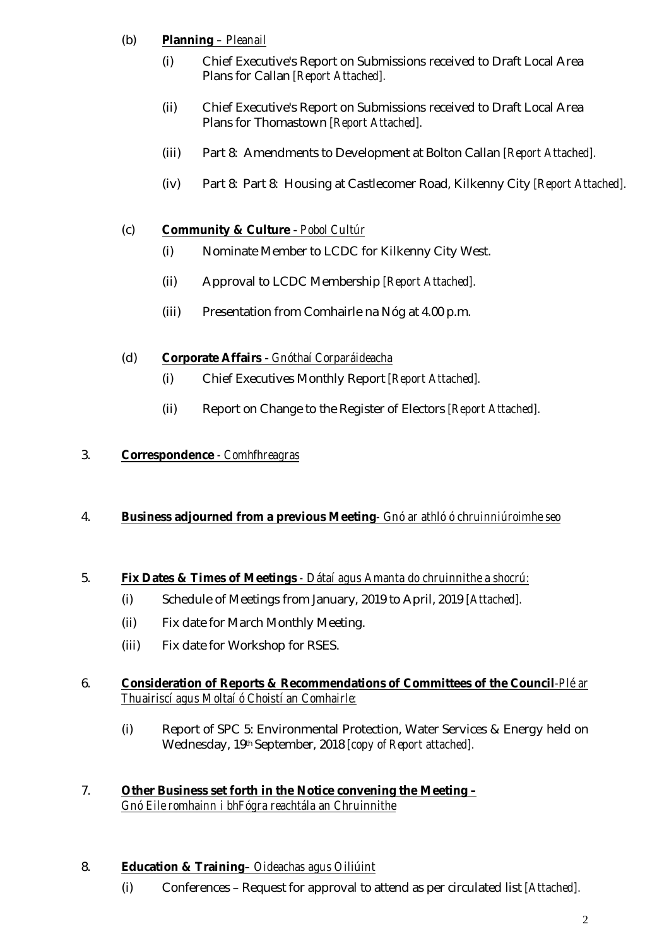## (b) **Planning** *– Pleanail*

- (i) Chief Executive's Report on Submissions received to Draft Local Area Plans for Callan *[Report Attached].*
- (ii) Chief Executive's Report on Submissions received to Draft Local Area Plans for Thomastown *[Report Attached].*
- (iii) Part 8: Amendments to Development at Bolton Callan *[Report Attached].*
- (iv) Part 8: Part 8: Housing at Castlecomer Road, Kilkenny City *[Report Attached].*

## (c) **Community & Culture** - *Pobol Cultúr*

- (i) Nominate Member to LCDC for Kilkenny City West.
- (ii) Approval to LCDC Membership *[Report Attached].*
- (iii) Presentation from Comhairle na Nóg at 4.00 p.m.

## (d) **Corporate Affairs** - *Gnóthaí Corparáideacha*

- (i) Chief Executives Monthly Report *[Report Attached].*
- (ii) Report on Change to the Register of Electors *[Report Attached].*

## 3. **Correspondence** *- Comhfhreagras*

## 4. **Business adjourned from a previous Meeting***- Gnó ar athló ó chruinniúroimhe seo*

## 5. **Fix Dates & Times of Meetings** *- Dátaí agus Amanta do chruinnithe a shocrú:*

- (i) Schedule of Meetings from January, 2019 to April, 2019 *[Attached].*
- (ii) Fix date for March Monthly Meeting.
- (iii) Fix date for Workshop for RSES.

## 6. **Consideration of Reports & Recommendations of Committees of the Council***-Plé ar Thuairiscí agus Moltaí ó Choistí an Comhairle:*

(i) Report of SPC 5: Environmental Protection, Water Services & Energy held on Wednesday, 19th September, 2018 *[copy of Report attached].*

## 7. **Other Business set forth in the Notice convening the Meeting –** *Gnó Eile romhainn i bhFógra reachtála an Chruinnithe*

## 8. **Education & Training***– Oideachas agus Oiliúint*

(i) Conferences – Request for approval to attend as per circulated list *[Attached].*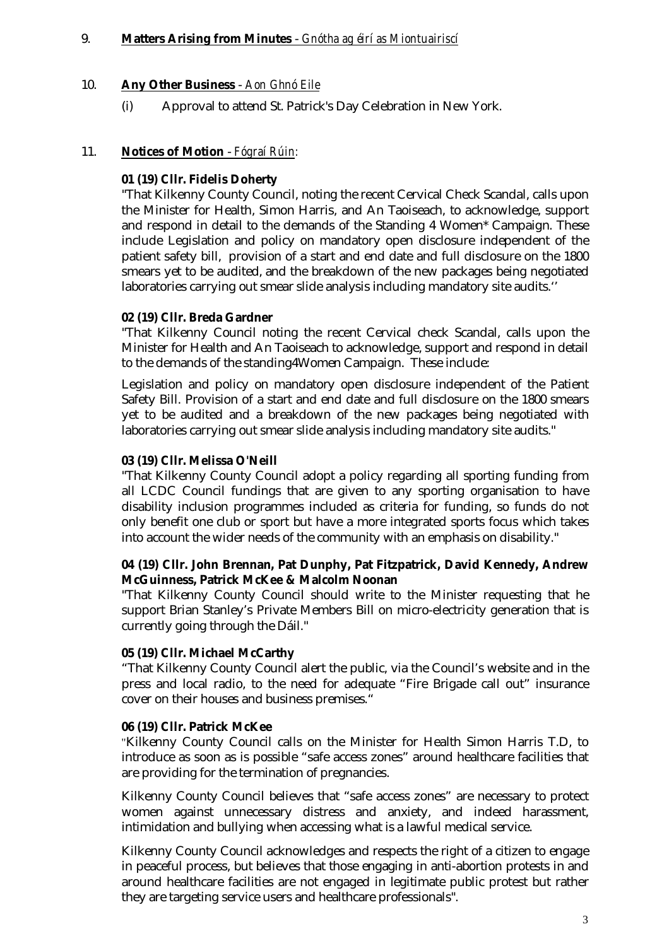#### 9. **Matters Arising from Minutes** - *Gnótha ag éirí as Miontuairiscí*

#### 10. **Any Other Business** - *Aon Ghnó Eile*

(i) Approval to attend St. Patrick's Day Celebration in New York.

#### 11. **Notices of Motion** - *Fógraí Rúin:*

#### **01 (19) Cllr. Fidelis Doherty**

"That Kilkenny County Council, noting the recent Cervical Check Scandal, calls upon the Minister for Health, Simon Harris, and An Taoiseach, to acknowledge, support and respond in detail to the demands of the Standing 4 Women\* Campaign. These include Legislation and policy on mandatory open disclosure independent of the patient safety bill, provision of a start and end date and full disclosure on the 1800 smears yet to be audited, and the breakdown of the new packages being negotiated laboratories carrying out smear slide analysis including mandatory site audits.''

#### **02 (19) Cllr. Breda Gardner**

"That Kilkenny Council noting the recent Cervical check Scandal, calls upon the Minister for Health and An Taoiseach to acknowledge, support and respond in detail to the demands of the standing4Women Campaign. These include:

Legislation and policy on mandatory open disclosure independent of the Patient Safety Bill. Provision of a start and end date and full disclosure on the 1800 smears yet to be audited and a breakdown of the new packages being negotiated with laboratories carrying out smear slide analysis including mandatory site audits."

#### **03 (19) Cllr. Melissa O'Neill**

"That Kilkenny County Council adopt a policy regarding all sporting funding from all LCDC Council fundings that are given to any sporting organisation to have disability inclusion programmes included as criteria for funding, so funds do not only benefit one club or sport but have a more integrated sports focus which takes into account the wider needs of the community with an emphasis on disability."

#### **04 (19) Cllr. John Brennan, Pat Dunphy, Pat Fitzpatrick, David Kennedy, Andrew McGuinness, Patrick McKee & Malcolm Noonan**

"That Kilkenny County Council should write to the Minister requesting that he support Brian Stanley's Private Members Bill on micro-electricity generation that is currently going through the Dáil."

#### **05 (19) Cllr. Michael McCarthy**

"That Kilkenny County Council alert the public, via the Council's website and in the press and local radio, to the need for adequate "Fire Brigade call out" insurance cover on their houses and business premises."

#### **06 (19) Cllr. Patrick McKee**

"Kilkenny County Council calls on the Minister for Health Simon Harris T.D, to introduce as soon as is possible "safe access zones" around healthcare facilities that are providing for the termination of pregnancies.

Kilkenny County Council believes that "safe access zones" are necessary to protect women against unnecessary distress and anxiety, and indeed harassment, intimidation and bullying when accessing what is a lawful medical service.

Kilkenny County Council acknowledges and respects the right of a citizen to engage in peaceful process, but believes that those engaging in anti-abortion protests in and around healthcare facilities are not engaged in legitimate public protest but rather they are targeting service users and healthcare professionals".